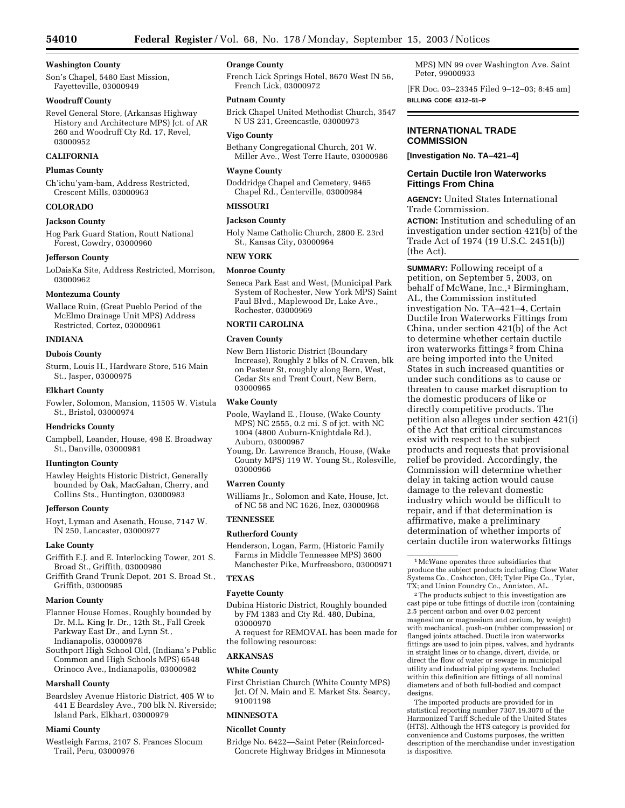## **Washington County**

Son's Chapel, 5480 East Mission, Fayetteville, 03000949

#### **Woodruff County**

Revel General Store, (Arkansas Highway History and Architecture MPS) Jct. of AR 260 and Woodruff Cty Rd. 17, Revel, 03000952

# **CALIFORNIA**

#### **Plumas County**

Ch'ichu'yam-bam, Address Restricted, Crescent Mills, 03000963

## **COLORADO**

#### **Jackson County**

Hog Park Guard Station, Routt National Forest, Cowdry, 03000960

#### **Jefferson County**

LoDaisKa Site, Address Restricted, Morrison, 03000962

#### **Montezuma County**

Wallace Ruin, (Great Pueblo Period of the McElmo Drainage Unit MPS) Address Restricted, Cortez, 03000961

#### **INDIANA**

#### **Dubois County**

Sturm, Louis H., Hardware Store, 516 Main St., Jasper, 03000975

## **Elkhart County**

Fowler, Solomon, Mansion, 11505 W. Vistula St., Bristol, 03000974

#### **Hendricks County**

Campbell, Leander, House, 498 E. Broadway St., Danville, 03000981

### **Huntington County**

Hawley Heights Historic District, Generally bounded by Oak, MacGahan, Cherry, and Collins Sts., Huntington, 03000983

## **Jefferson County**

Hoyt, Lyman and Asenath, House, 7147 W. IN 250, Lancaster, 03000977

#### **Lake County**

- Griffith E.J. and E. Interlocking Tower, 201 S. Broad St., Griffith, 03000980
- Griffith Grand Trunk Depot, 201 S. Broad St., Griffith, 03000985

### **Marion County**

Flanner House Homes, Roughly bounded by Dr. M.L. King Jr. Dr., 12th St., Fall Creek Parkway East Dr., and Lynn St., Indianapolis, 03000978

Southport High School Old, (Indiana's Public Common and High Schools MPS) 6548 Orinoco Ave., Indianapolis, 03000982

#### **Marshall County**

Beardsley Avenue Historic District, 405 W to 441 E Beardsley Ave., 700 blk N. Riverside; Island Park, Elkhart, 03000979

#### **Miami County**

Westleigh Farms, 2107 S. Frances Slocum Trail, Peru, 03000976

## **Orange County**

French Lick Springs Hotel, 8670 West IN 56, French Lick, 03000972

## **Putnam County**

Brick Chapel United Methodist Church, 3547 N US 231, Greencastle, 03000973

#### **Vigo County**

Bethany Congregational Church, 201 W. Miller Ave., West Terre Haute, 03000986

#### **Wayne County**

Doddridge Chapel and Cemetery, 9465 Chapel Rd., Centerville, 03000984

## **MISSOURI**

# **Jackson County**

Holy Name Catholic Church, 2800 E. 23rd St., Kansas City, 03000964

#### **NEW YORK**

#### **Monroe County**

Seneca Park East and West, (Municipal Park System of Rochester, New York MPS) Saint Paul Blvd., Maplewood Dr, Lake Ave., Rochester, 03000969

## **NORTH CAROLINA**

#### **Craven County**

New Bern Historic District (Boundary Increase), Roughly 2 blks of N. Craven, blk on Pasteur St, roughly along Bern, West, Cedar Sts and Trent Court, New Bern, 03000965

## **Wake County**

- Poole, Wayland E., House, (Wake County MPS) NC 2555, 0.2 mi. S of jct. with NC 1004 (4800 Auburn-Knightdale Rd.), Auburn, 03000967
- Young, Dr. Lawrence Branch, House, (Wake County MPS) 119 W. Young St., Rolesville, 03000966

#### **Warren County**

Williams Jr., Solomon and Kate, House, Jct. of NC 58 and NC 1626, Inez, 03000968

# **TENNESSEE**

# **Rutherford County**

Henderson, Logan, Farm, (Historic Family Farms in Middle Tennessee MPS) 3600 Manchester Pike, Murfreesboro, 03000971

# **TEXAS**

## **Fayette County**

Dubina Historic District, Roughly bounded by FM 1383 and Cty Rd. 480, Dubina, 03000970

A request for REMOVAL has been made for the following resources:

# **ARKANSAS**

## **White County**

First Christian Church (White County MPS) Jct. Of N. Main and E. Market Sts. Searcy, 91001198

### **MINNESOTA**

## **Nicollet County**

Bridge No. 6422—Saint Peter (Reinforced-Concrete Highway Bridges in Minnesota

MPS) MN 99 over Washington Ave. Saint Peter, 99000933

[FR Doc. 03–23345 Filed 9–12–03; 8:45 am] **BILLING CODE 4312–51–P**

## **INTERNATIONAL TRADE COMMISSION**

**[Investigation No. TA–421–4]** 

## **Certain Ductile Iron Waterworks Fittings From China**

**AGENCY:** United States International Trade Commission.

**ACTION:** Institution and scheduling of an investigation under section 421(b) of the Trade Act of 1974 (19 U.S.C. 2451(b)) (the Act).

**SUMMARY:** Following receipt of a petition, on September 5, 2003, on behalf of McWane, Inc.,<sup>1</sup> Birmingham, AL, the Commission instituted investigation No. TA–421–4, Certain Ductile Iron Waterworks Fittings from China, under section 421(b) of the Act to determine whether certain ductile iron waterworks fittings 2 from China are being imported into the United States in such increased quantities or under such conditions as to cause or threaten to cause market disruption to the domestic producers of like or directly competitive products. The petition also alleges under section 421(i) of the Act that critical circumstances exist with respect to the subject products and requests that provisional relief be provided. Accordingly, the Commission will determine whether delay in taking action would cause damage to the relevant domestic industry which would be difficult to repair, and if that determination is affirmative, make a preliminary determination of whether imports of certain ductile iron waterworks fittings

1McWane operates three subsidiaries that produce the subject products including: Clow Water Systems Co., Coshocton, OH; Tyler Pipe Co., Tyler, TX; and Union Foundry Co., Anniston, AL.

2The products subject to this investigation are cast pipe or tube fittings of ductile iron (containing 2.5 percent carbon and over 0.02 percent magnesium or magnesium and cerium, by weight) with mechanical, push-on (rubber compression) or flanged joints attached. Ductile iron waterworks fittings are used to join pipes, valves, and hydrants in straight lines or to change, divert, divide, or direct the flow of water or sewage in municipal utility and industrial piping systems. Included within this definition are fittings of all nominal diameters and of both full-bodied and compact designs.

The imported products are provided for in statistical reporting number 7307.19.3070 of the Harmonized Tariff Schedule of the United States (HTS). Although the HTS category is provided for convenience and Customs purposes, the written description of the merchandise under investigation is dispositive.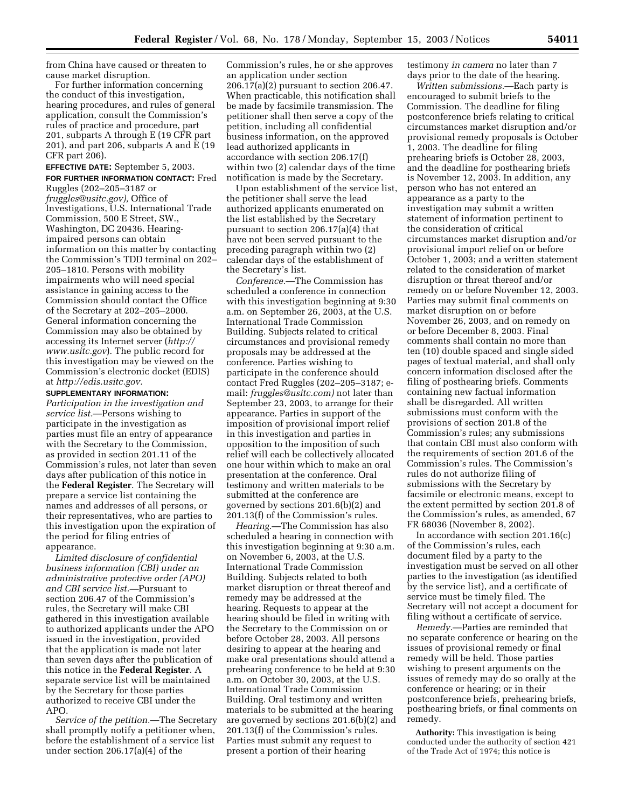from China have caused or threaten to cause market disruption.

For further information concerning the conduct of this investigation, hearing procedures, and rules of general application, consult the Commission's rules of practice and procedure, part 201, subparts A through E (19 CFR part 201), and part 206, subparts A and E (19 CFR part 206).

**EFFECTIVE DATE:** September 5, 2003. **FOR FURTHER INFORMATION CONTACT:** Fred Ruggles (202–205–3187 or *fruggles@usitc.gov),* Office of Investigations, U.S. International Trade Commission, 500 E Street, SW., Washington, DC 20436. Hearingimpaired persons can obtain information on this matter by contacting the Commission's TDD terminal on 202– 205–1810. Persons with mobility impairments who will need special assistance in gaining access to the Commission should contact the Office of the Secretary at 202–205–2000. General information concerning the Commission may also be obtained by accessing its Internet server (*http:// www.usitc.gov*). The public record for this investigation may be viewed on the Commission's electronic docket (EDIS) at *http://edis.usitc.gov.*

## **SUPPLEMENTARY INFORMATION:**

*Participation in the investigation and service list.*—Persons wishing to participate in the investigation as parties must file an entry of appearance with the Secretary to the Commission, as provided in section 201.11 of the Commission's rules, not later than seven days after publication of this notice in the **Federal Register**. The Secretary will prepare a service list containing the names and addresses of all persons, or their representatives, who are parties to this investigation upon the expiration of the period for filing entries of appearance.

*Limited disclosure of confidential business information (CBI) under an administrative protective order (APO) and CBI service list.—*Pursuant to section 206.47 of the Commission's rules, the Secretary will make CBI gathered in this investigation available to authorized applicants under the APO issued in the investigation, provided that the application is made not later than seven days after the publication of this notice in the **Federal Register**. A separate service list will be maintained by the Secretary for those parties authorized to receive CBI under the APO.

*Service of the petition.*—The Secretary shall promptly notify a petitioner when, before the establishment of a service list under section 206.17(a)(4) of the

Commission's rules, he or she approves an application under section 206.17(a)(2) pursuant to section 206.47. When practicable, this notification shall be made by facsimile transmission. The petitioner shall then serve a copy of the petition, including all confidential business information, on the approved lead authorized applicants in accordance with section 206.17(f) within two (2) calendar days of the time notification is made by the Secretary.

Upon establishment of the service list, the petitioner shall serve the lead authorized applicants enumerated on the list established by the Secretary pursuant to section 206.17(a)(4) that have not been served pursuant to the preceding paragraph within two (2) calendar days of the establishment of the Secretary's list.

*Conference.*—The Commission has scheduled a conference in connection with this investigation beginning at 9:30 a.m. on September 26, 2003, at the U.S. International Trade Commission Building. Subjects related to critical circumstances and provisional remedy proposals may be addressed at the conference. Parties wishing to participate in the conference should contact Fred Ruggles (202–205–3187; email: *fruggles@usitc.com)* not later than September 23, 2003, to arrange for their appearance. Parties in support of the imposition of provisional import relief in this investigation and parties in opposition to the imposition of such relief will each be collectively allocated one hour within which to make an oral presentation at the conference. Oral testimony and written materials to be submitted at the conference are governed by sections 201.6(b)(2) and 201.13(f) of the Commission's rules.

*Hearing.*—The Commission has also scheduled a hearing in connection with this investigation beginning at 9:30 a.m. on November 6, 2003, at the U.S. International Trade Commission Building. Subjects related to both market disruption or threat thereof and remedy may be addressed at the hearing. Requests to appear at the hearing should be filed in writing with the Secretary to the Commission on or before October 28, 2003. All persons desiring to appear at the hearing and make oral presentations should attend a prehearing conference to be held at 9:30 a.m. on October 30, 2003, at the U.S. International Trade Commission Building. Oral testimony and written materials to be submitted at the hearing are governed by sections 201.6(b)(2) and 201.13(f) of the Commission's rules. Parties must submit any request to present a portion of their hearing

testimony *in camera* no later than 7 days prior to the date of the hearing.

*Written submissions.*—Each party is encouraged to submit briefs to the Commission. The deadline for filing postconference briefs relating to critical circumstances market disruption and/or provisional remedy proposals is October 1, 2003. The deadline for filing prehearing briefs is October 28, 2003, and the deadline for posthearing briefs is November 12, 2003. In addition, any person who has not entered an appearance as a party to the investigation may submit a written statement of information pertinent to the consideration of critical circumstances market disruption and/or provisional import relief on or before October 1, 2003; and a written statement related to the consideration of market disruption or threat thereof and/or remedy on or before November 12, 2003. Parties may submit final comments on market disruption on or before November 26, 2003, and on remedy on or before December 8, 2003. Final comments shall contain no more than ten (10) double spaced and single sided pages of textual material, and shall only concern information disclosed after the filing of posthearing briefs. Comments containing new factual information shall be disregarded. All written submissions must conform with the provisions of section 201.8 of the Commission's rules; any submissions that contain CBI must also conform with the requirements of section 201.6 of the Commission's rules. The Commission's rules do not authorize filing of submissions with the Secretary by facsimile or electronic means, except to the extent permitted by section 201.8 of the Commission's rules, as amended, 67 FR 68036 (November 8, 2002).

In accordance with section 201.16(c) of the Commission's rules, each document filed by a party to the investigation must be served on all other parties to the investigation (as identified by the service list), and a certificate of service must be timely filed. The Secretary will not accept a document for filing without a certificate of service.

*Remedy.*—Parties are reminded that no separate conference or hearing on the issues of provisional remedy or final remedy will be held. Those parties wishing to present arguments on the issues of remedy may do so orally at the conference or hearing; or in their postconference briefs, prehearing briefs, posthearing briefs, or final comments on remedy.

**Authority:** This investigation is being conducted under the authority of section 421 of the Trade Act of 1974; this notice is